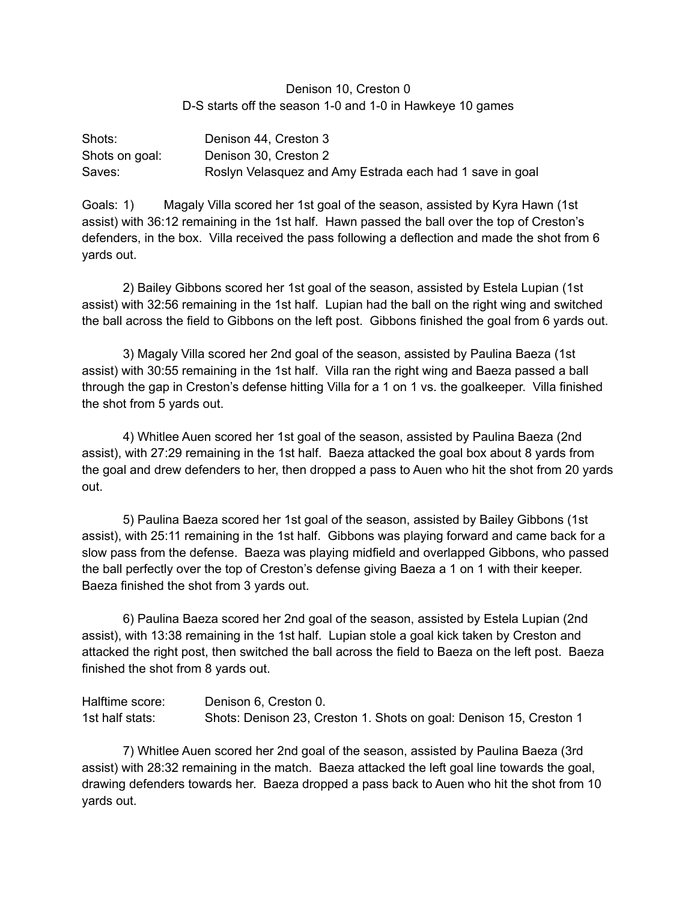## Denison 10, Creston 0 D-S starts off the season 1-0 and 1-0 in Hawkeye 10 games

| Shots:         | Denison 44, Creston 3                                    |
|----------------|----------------------------------------------------------|
| Shots on goal: | Denison 30, Creston 2                                    |
| Saves:         | Roslyn Velasquez and Amy Estrada each had 1 save in goal |

Goals: 1) Magaly Villa scored her 1st goal of the season, assisted by Kyra Hawn (1st assist) with 36:12 remaining in the 1st half. Hawn passed the ball over the top of Creston's defenders, in the box. Villa received the pass following a deflection and made the shot from 6 yards out.

2) Bailey Gibbons scored her 1st goal of the season, assisted by Estela Lupian (1st assist) with 32:56 remaining in the 1st half. Lupian had the ball on the right wing and switched the ball across the field to Gibbons on the left post. Gibbons finished the goal from 6 yards out.

3) Magaly Villa scored her 2nd goal of the season, assisted by Paulina Baeza (1st assist) with 30:55 remaining in the 1st half. Villa ran the right wing and Baeza passed a ball through the gap in Creston's defense hitting Villa for a 1 on 1 vs. the goalkeeper. Villa finished the shot from 5 yards out.

4) Whitlee Auen scored her 1st goal of the season, assisted by Paulina Baeza (2nd assist), with 27:29 remaining in the 1st half. Baeza attacked the goal box about 8 yards from the goal and drew defenders to her, then dropped a pass to Auen who hit the shot from 20 yards out.

5) Paulina Baeza scored her 1st goal of the season, assisted by Bailey Gibbons (1st assist), with 25:11 remaining in the 1st half. Gibbons was playing forward and came back for a slow pass from the defense. Baeza was playing midfield and overlapped Gibbons, who passed the ball perfectly over the top of Creston's defense giving Baeza a 1 on 1 with their keeper. Baeza finished the shot from 3 yards out.

6) Paulina Baeza scored her 2nd goal of the season, assisted by Estela Lupian (2nd assist), with 13:38 remaining in the 1st half. Lupian stole a goal kick taken by Creston and attacked the right post, then switched the ball across the field to Baeza on the left post. Baeza finished the shot from 8 yards out.

| Halftime score: | Denison 6, Creston 0.                                              |
|-----------------|--------------------------------------------------------------------|
| 1st half stats: | Shots: Denison 23, Creston 1. Shots on goal: Denison 15, Creston 1 |

7) Whitlee Auen scored her 2nd goal of the season, assisted by Paulina Baeza (3rd assist) with 28:32 remaining in the match. Baeza attacked the left goal line towards the goal, drawing defenders towards her. Baeza dropped a pass back to Auen who hit the shot from 10 yards out.